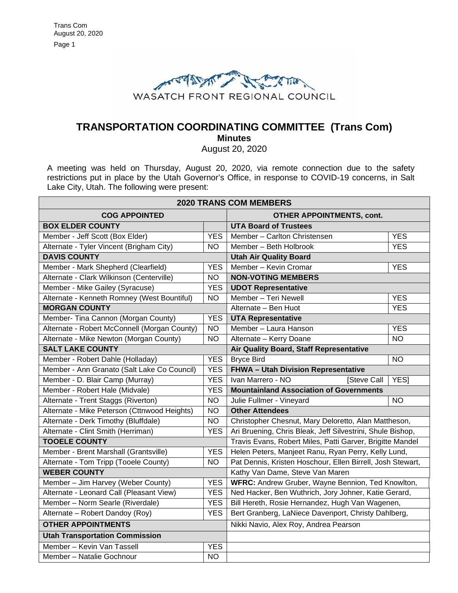

# **TRANSPORTATION COORDINATING COMMITTEE (Trans Com) Minutes**

August 20, 2020

A meeting was held on Thursday, August 20, 2020, via remote connection due to the safety restrictions put in place by the Utah Governor's Office, in response to COVID-19 concerns, in Salt Lake City, Utah. The following were present:

| <b>2020 TRANS COM MEMBERS</b>                |                |                                                            |            |
|----------------------------------------------|----------------|------------------------------------------------------------|------------|
| <b>COG APPOINTED</b>                         |                | <b>OTHER APPOINTMENTS, cont.</b>                           |            |
| <b>BOX ELDER COUNTY</b>                      |                | <b>UTA Board of Trustees</b>                               |            |
| Member - Jeff Scott (Box Elder)              | <b>YES</b>     | Member - Carlton Christensen                               | <b>YES</b> |
| Alternate - Tyler Vincent (Brigham City)     | <b>NO</b>      | Member - Beth Holbrook                                     | <b>YES</b> |
| <b>DAVIS COUNTY</b>                          |                | <b>Utah Air Quality Board</b>                              |            |
| Member - Mark Shepherd (Clearfield)          | <b>YES</b>     | Member - Kevin Cromar                                      | <b>YES</b> |
| Alternate - Clark Wilkinson (Centerville)    | N <sub>O</sub> | <b>NON-VOTING MEMBERS</b>                                  |            |
| Member - Mike Gailey (Syracuse)              | <b>YES</b>     | <b>UDOT Representative</b>                                 |            |
| Alternate - Kenneth Romney (West Bountiful)  | <b>NO</b>      | Member - Teri Newell                                       | <b>YES</b> |
| <b>MORGAN COUNTY</b>                         |                | Alternate - Ben Huot                                       | <b>YES</b> |
| Member- Tina Cannon (Morgan County)          | <b>YES</b>     | <b>UTA Representative</b>                                  |            |
| Alternate - Robert McConnell (Morgan County) | <b>NO</b>      | Member - Laura Hanson                                      | <b>YES</b> |
| Alternate - Mike Newton (Morgan County)      | N <sub>O</sub> | Alternate - Kerry Doane                                    | <b>NO</b>  |
| <b>SALT LAKE COUNTY</b>                      |                | Air Quality Board, Staff Representative                    |            |
| Member - Robert Dahle (Holladay)             | <b>YES</b>     | <b>Bryce Bird</b>                                          | <b>NO</b>  |
| Member - Ann Granato (Salt Lake Co Council)  | <b>YES</b>     | FHWA - Utah Division Representative                        |            |
| Member - D. Blair Camp (Murray)              | <b>YES</b>     | Ivan Marrero - NO<br><b>Steve Call</b>                     | <b>YES</b> |
| Member - Robert Hale (Midvale)               | <b>YES</b>     | <b>Mountainland Association of Governments</b>             |            |
| Alternate - Trent Staggs (Riverton)          | <b>NO</b>      | Julie Fullmer - Vineyard                                   | <b>NO</b>  |
| Alternate - Mike Peterson (Cttnwood Heights) | <b>NO</b>      | <b>Other Attendees</b>                                     |            |
| Alternate - Derk Timothy (Bluffdale)         | <b>NO</b>      | Christopher Chesnut, Mary Deloretto, Alan Mattheson,       |            |
| Alternate - Clint Smith (Herriman)           | <b>YES</b>     | Ari Bruening, Chris Bleak, Jeff Silvestrini, Shule Bishop, |            |
| <b>TOOELE COUNTY</b>                         |                | Travis Evans, Robert Miles, Patti Garver, Brigitte Mandel  |            |
| Member - Brent Marshall (Grantsville)        | <b>YES</b>     | Helen Peters, Manjeet Ranu, Ryan Perry, Kelly Lund,        |            |
| Alternate - Tom Tripp (Tooele County)        | <b>NO</b>      | Pat Dennis, Kristen Hoschour, Ellen Birrell, Josh Stewart, |            |
| <b>WEBER COUNTY</b>                          |                | Kathy Van Dame, Steve Van Maren                            |            |
| Member - Jim Harvey (Weber County)           | <b>YES</b>     | WFRC: Andrew Gruber, Wayne Bennion, Ted Knowlton,          |            |
| Alternate - Leonard Call (Pleasant View)     | <b>YES</b>     | Ned Hacker, Ben Wuthrich, Jory Johner, Katie Gerard,       |            |
| Member - Norm Searle (Riverdale)             | <b>YES</b>     | Bill Hereth, Rosie Hernandez, Hugh Van Wagenen,            |            |
| Alternate - Robert Dandoy (Roy)              | <b>YES</b>     | Bert Granberg, LaNiece Davenport, Christy Dahlberg,        |            |
| <b>OTHER APPOINTMENTS</b>                    |                | Nikki Navio, Alex Roy, Andrea Pearson                      |            |
| <b>Utah Transportation Commission</b>        |                |                                                            |            |
| Member - Kevin Van Tassell                   | <b>YES</b>     |                                                            |            |
| Member - Natalie Gochnour                    | <b>NO</b>      |                                                            |            |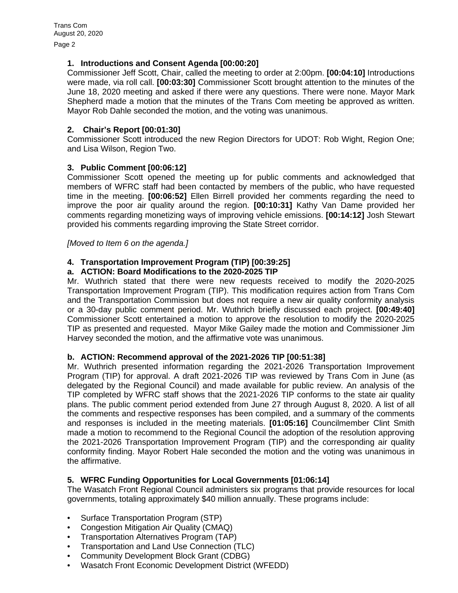Page 2

### **1. Introductions and Consent Agenda [00:00:20]**

Commissioner Jeff Scott, Chair, called the meeting to order at 2:00pm. **[00:04:10]** Introductions were made, via roll call. **[00:03:30]** Commissioner Scott brought attention to the minutes of the June 18, 2020 meeting and asked if there were any questions. There were none. Mayor Mark Shepherd made a motion that the minutes of the Trans Com meeting be approved as written. Mayor Rob Dahle seconded the motion, and the voting was unanimous.

## **2. Chair's Report [00:01:30]**

Commissioner Scott introduced the new Region Directors for UDOT: Rob Wight, Region One; and Lisa Wilson, Region Two.

## **3. Public Comment [00:06:12]**

Commissioner Scott opened the meeting up for public comments and acknowledged that members of WFRC staff had been contacted by members of the public, who have requested time in the meeting. **[00:06:52]** Ellen Birrell provided her comments regarding the need to improve the poor air quality around the region. **[00:10:31]** Kathy Van Dame provided her comments regarding monetizing ways of improving vehicle emissions. **[00:14:12]** Josh Stewart provided his comments regarding improving the State Street corridor.

#### *[Moved to Item 6 on the agenda.]*

## **4. Transportation Improvement Program (TIP) [00:39:25]**

#### **a. ACTION: Board Modifications to the 2020-2025 TIP**

Mr. Wuthrich stated that there were new requests received to modify the 2020-2025 Transportation Improvement Program (TIP). This modification requires action from Trans Com and the Transportation Commission but does not require a new air quality conformity analysis or a 30-day public comment period. Mr. Wuthrich briefly discussed each project. **[00:49:40]** Commissioner Scott entertained a motion to approve the resolution to modify the 2020-2025 TIP as presented and requested. Mayor Mike Gailey made the motion and Commissioner Jim Harvey seconded the motion, and the affirmative vote was unanimous.

#### **b. ACTION: Recommend approval of the 2021-2026 TIP [00:51:38]**

Mr. Wuthrich presented information regarding the 2021-2026 Transportation Improvement Program (TIP) for approval. A draft 2021-2026 TIP was reviewed by Trans Com in June (as delegated by the Regional Council) and made available for public review. An analysis of the TIP completed by WFRC staff shows that the 2021-2026 TIP conforms to the state air quality plans. The public comment period extended from June 27 through August 8, 2020. A list of all the comments and respective responses has been compiled, and a summary of the comments and responses is included in the meeting materials. **[01:05:16]** Councilmember Clint Smith made a motion to recommend to the Regional Council the adoption of the resolution approving the 2021-2026 Transportation Improvement Program (TIP) and the corresponding air quality conformity finding. Mayor Robert Hale seconded the motion and the voting was unanimous in the affirmative.

#### **5. WFRC Funding Opportunities for Local Governments [01:06:14]**

The Wasatch Front Regional Council administers six programs that provide resources for local governments, totaling approximately \$40 million annually. These programs include:

- Surface Transportation Program (STP)
- Congestion Mitigation Air Quality (CMAQ)
- Transportation Alternatives Program (TAP)
- Transportation and Land Use Connection (TLC)
- Community Development Block Grant (CDBG)
- Wasatch Front Economic Development District (WFEDD)